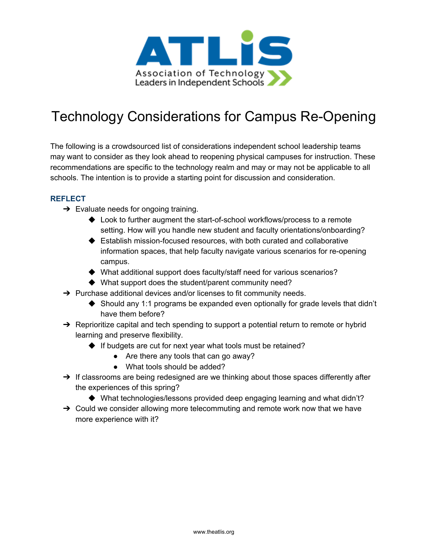

## Technology Considerations for Campus Re-Opening

The following is a crowdsourced list of considerations independent school leadership teams may want to consider as they look ahead to reopening physical campuses for instruction. These recommendations are specific to the technology realm and may or may not be applicable to all schools. The intention is to provide a starting point for discussion and consideration.

## **REFLECT**

- $\rightarrow$  Evaluate needs for ongoing training.
	- ◆ Look to further augment the start-of-school workflows/process to a remote setting. How will you handle new student and faculty orientations/onboarding?
	- ◆ Establish mission-focused resources, with both curated and collaborative information spaces, that help faculty navigate various scenarios for re-opening campus.
	- ◆ What additional support does faculty/staff need for various scenarios?
	- ◆ What support does the student/parent community need?
- $\rightarrow$  Purchase additional devices and/or licenses to fit community needs.
	- ◆ Should any 1:1 programs be expanded even optionally for grade levels that didn't have them before?
- $\rightarrow$  Reprioritize capital and tech spending to support a potential return to remote or hybrid learning and preserve flexibility.
	- ◆ If budgets are cut for next year what tools must be retained?
		- Are there any tools that can go away?
		- What tools should be added?
- → If classrooms are being redesigned are we thinking about those spaces differently after the experiences of this spring?
	- ◆ What technologies/lessons provided deep engaging learning and what didn't?
- $\rightarrow$  Could we consider allowing more telecommuting and remote work now that we have more experience with it?